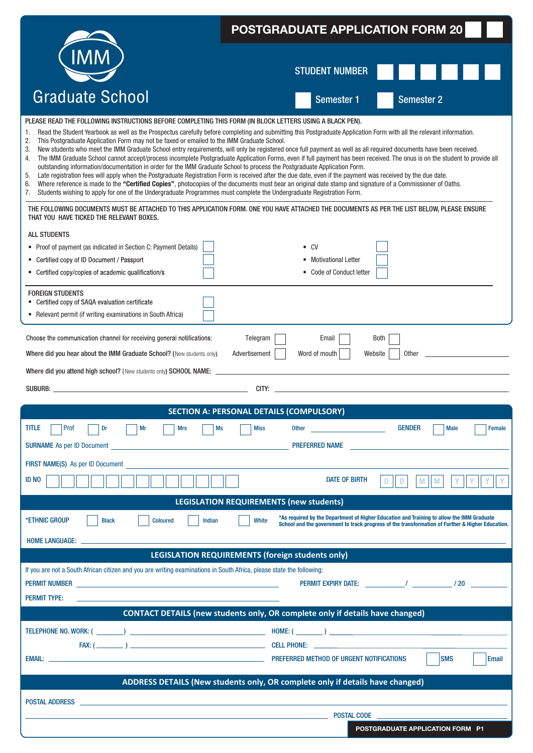|                                                                                                                                                                                                                                                                                                                                                                                                                                                                                                      | <b>POSTGRADUATE APPLICATION FORM 20</b>                                                                                                                                                                                                                                                                                                                                                                                                                                                                                                                                                                                                                                                                                                                                                                                                              |  |  |  |  |
|------------------------------------------------------------------------------------------------------------------------------------------------------------------------------------------------------------------------------------------------------------------------------------------------------------------------------------------------------------------------------------------------------------------------------------------------------------------------------------------------------|------------------------------------------------------------------------------------------------------------------------------------------------------------------------------------------------------------------------------------------------------------------------------------------------------------------------------------------------------------------------------------------------------------------------------------------------------------------------------------------------------------------------------------------------------------------------------------------------------------------------------------------------------------------------------------------------------------------------------------------------------------------------------------------------------------------------------------------------------|--|--|--|--|
|                                                                                                                                                                                                                                                                                                                                                                                                                                                                                                      |                                                                                                                                                                                                                                                                                                                                                                                                                                                                                                                                                                                                                                                                                                                                                                                                                                                      |  |  |  |  |
|                                                                                                                                                                                                                                                                                                                                                                                                                                                                                                      | <b>STUDENT NUMBER</b>                                                                                                                                                                                                                                                                                                                                                                                                                                                                                                                                                                                                                                                                                                                                                                                                                                |  |  |  |  |
| <b>Graduate School</b>                                                                                                                                                                                                                                                                                                                                                                                                                                                                               | <b>Semester 1</b><br><b>Semester 2</b>                                                                                                                                                                                                                                                                                                                                                                                                                                                                                                                                                                                                                                                                                                                                                                                                               |  |  |  |  |
| PLEASE READ THE FOLLOWING INSTRUCTIONS BEFORE COMPLETING THIS FORM (IN BLOCK LETTERS USING A BLACK PEN).<br>1.<br>This Postgraduate Application Form may not be faxed or emailed to the IMM Graduate School.<br>2.<br>3.<br>4.<br>outstanding information/documentation in order for the IMM Graduate School to process the Postgraduate Application Form.<br>5.<br>6.<br>Students wishing to apply for one of the Undergraduate Programmes must complete the Undergraduate Registration Form.<br>7. | Read the Student Yearbook as well as the Prospectus carefully before completing and submitting this Postgraduate Application Form with all the relevant information.<br>New students who meet the IMM Graduate School entry requirements, will only be registered once full payment as well as all required documents have been received.<br>The IMM Graduate School cannot accept/process incomplete Postgraduate Application Forms, even if full payment has been received. The onus is on the student to provide all<br>Late registration fees will apply when the Postgraduate Registration Form is received after the due date, even if the payment was received by the due date.<br>Where reference is made to the "Certified Copies", photocopies of the documents must bear an original date stamp and signature of a Commissioner of Oaths. |  |  |  |  |
| THAT YOU HAVE TICKED THE RELEVANT BOXES.                                                                                                                                                                                                                                                                                                                                                                                                                                                             | THE FOLLOWING DOCUMENTS MUST BE ATTACHED TO THIS APPLICATION FORM. ONE YOU HAVE ATTACHED THE DOCUMENTS AS PER THE LIST BELOW, PLEASE ENSURE                                                                                                                                                                                                                                                                                                                                                                                                                                                                                                                                                                                                                                                                                                          |  |  |  |  |
| <b>ALL STUDENTS</b><br>• Proof of payment (as indicated in Section C: Payment Details)<br>Certified copy of ID Document / Passport<br>• Certified copy/copies of academic qualification/s<br><b>FOREIGN STUDENTS</b>                                                                                                                                                                                                                                                                                 | $\bullet$ CV<br><b>Motivational Letter</b><br>• Code of Conduct letter                                                                                                                                                                                                                                                                                                                                                                                                                                                                                                                                                                                                                                                                                                                                                                               |  |  |  |  |
| • Certified copy of SAQA evaluation certificate<br>• Relevant permit (if writing examinations in South Africa)                                                                                                                                                                                                                                                                                                                                                                                       |                                                                                                                                                                                                                                                                                                                                                                                                                                                                                                                                                                                                                                                                                                                                                                                                                                                      |  |  |  |  |
| Choose the communication channel for receiving general notifications:<br>Where did you hear about the IMM Graduate School? (New students only)<br>Where did you attend high school? (New students only) SCHOOL NAME: _<br>SUBURB: the contract of the contract of the contract of the contract of the contract of the contract of the contract of the contract of the contract of the contract of the contract of the contract of the contract of the co                                             | Telegram<br>Email<br>Both<br>Advertisement<br>Word of mouth<br>Website<br><b>Other</b><br>CITY:                                                                                                                                                                                                                                                                                                                                                                                                                                                                                                                                                                                                                                                                                                                                                      |  |  |  |  |
|                                                                                                                                                                                                                                                                                                                                                                                                                                                                                                      | SECTION A: PERSONAL DETAILS (COMPULSORY)                                                                                                                                                                                                                                                                                                                                                                                                                                                                                                                                                                                                                                                                                                                                                                                                             |  |  |  |  |
| <b>TITLE</b><br>Prof<br>Mr<br><b>Mrs</b><br>Dr<br>Ms<br><b>SURNAME</b> As per ID Document                                                                                                                                                                                                                                                                                                                                                                                                            | <b>GENDER</b><br><b>Miss</b><br>Other <u>and the contract of the contract of the contract of the contract of the contract of the contract of the contract of the contract of the contract of the contract of the contract of the contract of the contract of the</u><br><b>Male</b><br>Female<br>PREFERRED NAME                                                                                                                                                                                                                                                                                                                                                                                                                                                                                                                                      |  |  |  |  |
| FIRST NAME(S) As per ID Document<br>ID NO                                                                                                                                                                                                                                                                                                                                                                                                                                                            | <b>DATE OF BIRTH</b><br>D<br>M                                                                                                                                                                                                                                                                                                                                                                                                                                                                                                                                                                                                                                                                                                                                                                                                                       |  |  |  |  |
|                                                                                                                                                                                                                                                                                                                                                                                                                                                                                                      | <b>LEGISLATION REQUIREMENTS (new students)</b>                                                                                                                                                                                                                                                                                                                                                                                                                                                                                                                                                                                                                                                                                                                                                                                                       |  |  |  |  |
| *ETHNIC GROUP<br><b>Black</b><br><b>Coloured</b><br>Indian                                                                                                                                                                                                                                                                                                                                                                                                                                           | *As required by the Department of Higher Education and Training to allow the IMM Graduate<br>White<br>School and the government to track progress of the transformation of Further & Higher Education.                                                                                                                                                                                                                                                                                                                                                                                                                                                                                                                                                                                                                                               |  |  |  |  |
| <b>HOME LANGUAGE:</b>                                                                                                                                                                                                                                                                                                                                                                                                                                                                                | <b>LEGISLATION REQUIREMENTS (foreign students only)</b>                                                                                                                                                                                                                                                                                                                                                                                                                                                                                                                                                                                                                                                                                                                                                                                              |  |  |  |  |
| If you are not a South African citizen and you are writing examinations in South Africa, please state the following:<br><b>PERMIT NUMBER Example 2008 CONTROL</b><br><b>PERMIT TYPE:</b>                                                                                                                                                                                                                                                                                                             | PERMIT EXPIRY DATE: The matrix of the state of the state of the state of the state of the state of the state o                                                                                                                                                                                                                                                                                                                                                                                                                                                                                                                                                                                                                                                                                                                                       |  |  |  |  |
|                                                                                                                                                                                                                                                                                                                                                                                                                                                                                                      | <b>CONTACT DETAILS (new students only, OR complete only if details have changed)</b>                                                                                                                                                                                                                                                                                                                                                                                                                                                                                                                                                                                                                                                                                                                                                                 |  |  |  |  |
| EMAIL: University of the Contract of the Contract of the Contract of the Contract of the Contract of the Contract of the Contract of the Contract of the Contract of the Contract of the Contract of the Contract of the Contr                                                                                                                                                                                                                                                                       | <b>SMS</b><br><b>Email</b>                                                                                                                                                                                                                                                                                                                                                                                                                                                                                                                                                                                                                                                                                                                                                                                                                           |  |  |  |  |
|                                                                                                                                                                                                                                                                                                                                                                                                                                                                                                      | ADDRESS DETAILS (New students only, OR complete only if details have changed)                                                                                                                                                                                                                                                                                                                                                                                                                                                                                                                                                                                                                                                                                                                                                                        |  |  |  |  |
| <b>POSTAL ADDRESS</b>                                                                                                                                                                                                                                                                                                                                                                                                                                                                                | <b>Example 2018 19:30 POSTAL CODE</b>                                                                                                                                                                                                                                                                                                                                                                                                                                                                                                                                                                                                                                                                                                                                                                                                                |  |  |  |  |
|                                                                                                                                                                                                                                                                                                                                                                                                                                                                                                      | POSTGRADUATE APPLICATION FORM P1                                                                                                                                                                                                                                                                                                                                                                                                                                                                                                                                                                                                                                                                                                                                                                                                                     |  |  |  |  |